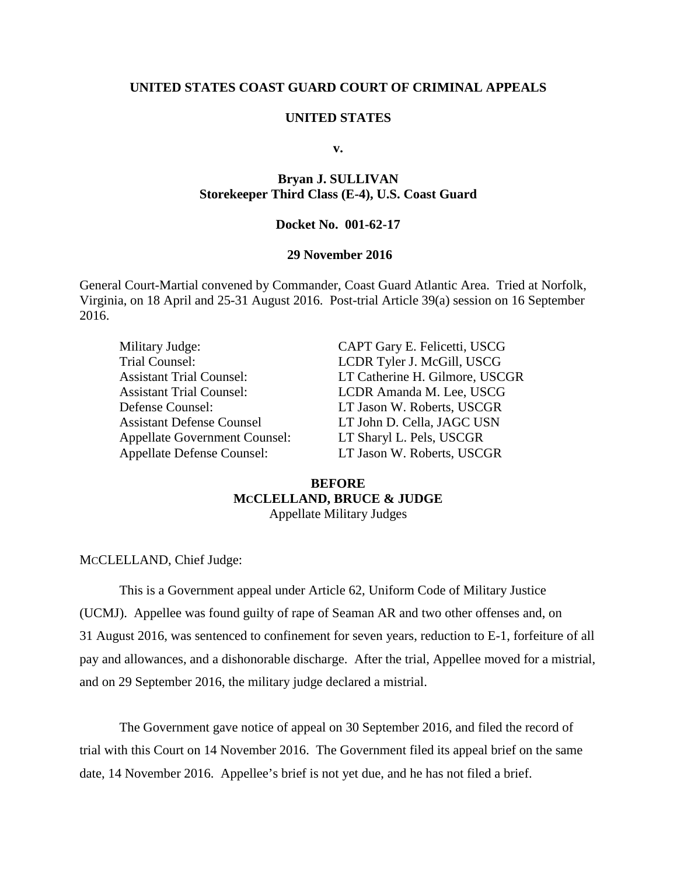## **UNITED STATES COAST GUARD COURT OF CRIMINAL APPEALS**

### **UNITED STATES**

**v.**

# **Bryan J. SULLIVAN Storekeeper Third Class (E-4), U.S. Coast Guard**

## **Docket No. 001-62-17**

## **29 November 2016**

General Court-Martial convened by Commander, Coast Guard Atlantic Area. Tried at Norfolk, Virginia, on 18 April and 25-31 August 2016. Post-trial Article 39(a) session on 16 September 2016.

| Military Judge:                      | CAPT Gary E. Felicetti, USCG   |
|--------------------------------------|--------------------------------|
| Trial Counsel:                       | LCDR Tyler J. McGill, USCG     |
| <b>Assistant Trial Counsel:</b>      | LT Catherine H. Gilmore, USCGR |
| <b>Assistant Trial Counsel:</b>      | LCDR Amanda M. Lee, USCG       |
| Defense Counsel:                     | LT Jason W. Roberts, USCGR     |
| <b>Assistant Defense Counsel</b>     | LT John D. Cella, JAGC USN     |
| <b>Appellate Government Counsel:</b> | LT Sharyl L. Pels, USCGR       |
| <b>Appellate Defense Counsel:</b>    | LT Jason W. Roberts, USCGR     |

# **BEFORE MCCLELLAND, BRUCE & JUDGE** Appellate Military Judges

MCCLELLAND, Chief Judge:

This is a Government appeal under Article 62, Uniform Code of Military Justice (UCMJ). Appellee was found guilty of rape of Seaman AR and two other offenses and, on 31 August 2016, was sentenced to confinement for seven years, reduction to E-1, forfeiture of all pay and allowances, and a dishonorable discharge. After the trial, Appellee moved for a mistrial, and on 29 September 2016, the military judge declared a mistrial.

The Government gave notice of appeal on 30 September 2016, and filed the record of trial with this Court on 14 November 2016. The Government filed its appeal brief on the same date, 14 November 2016. Appellee's brief is not yet due, and he has not filed a brief.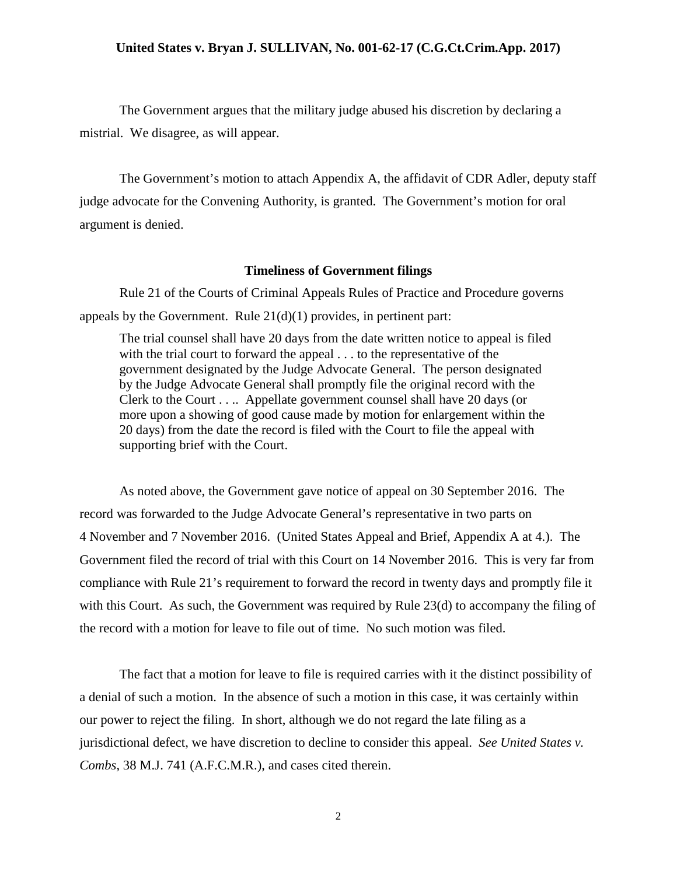#### **United States v. Bryan J. SULLIVAN, No. 001-62-17 (C.G.Ct.Crim.App. 2017)**

The Government argues that the military judge abused his discretion by declaring a mistrial. We disagree, as will appear.

The Government's motion to attach Appendix A, the affidavit of CDR Adler, deputy staff judge advocate for the Convening Authority, is granted. The Government's motion for oral argument is denied.

#### **Timeliness of Government filings**

Rule 21 of the Courts of Criminal Appeals Rules of Practice and Procedure governs appeals by the Government. Rule  $21(d)(1)$  provides, in pertinent part:

The trial counsel shall have 20 days from the date written notice to appeal is filed with the trial court to forward the appeal . . . to the representative of the government designated by the Judge Advocate General. The person designated by the Judge Advocate General shall promptly file the original record with the Clerk to the Court . . .. Appellate government counsel shall have 20 days (or more upon a showing of good cause made by motion for enlargement within the 20 days) from the date the record is filed with the Court to file the appeal with supporting brief with the Court.

As noted above, the Government gave notice of appeal on 30 September 2016. The record was forwarded to the Judge Advocate General's representative in two parts on 4 November and 7 November 2016. (United States Appeal and Brief, Appendix A at 4.). The Government filed the record of trial with this Court on 14 November 2016. This is very far from compliance with Rule 21's requirement to forward the record in twenty days and promptly file it with this Court. As such, the Government was required by Rule 23(d) to accompany the filing of the record with a motion for leave to file out of time. No such motion was filed.

The fact that a motion for leave to file is required carries with it the distinct possibility of a denial of such a motion. In the absence of such a motion in this case, it was certainly within our power to reject the filing. In short, although we do not regard the late filing as a jurisdictional defect, we have discretion to decline to consider this appeal. *See United States v. Combs*, 38 M.J. 741 (A.F.C.M.R.), and cases cited therein.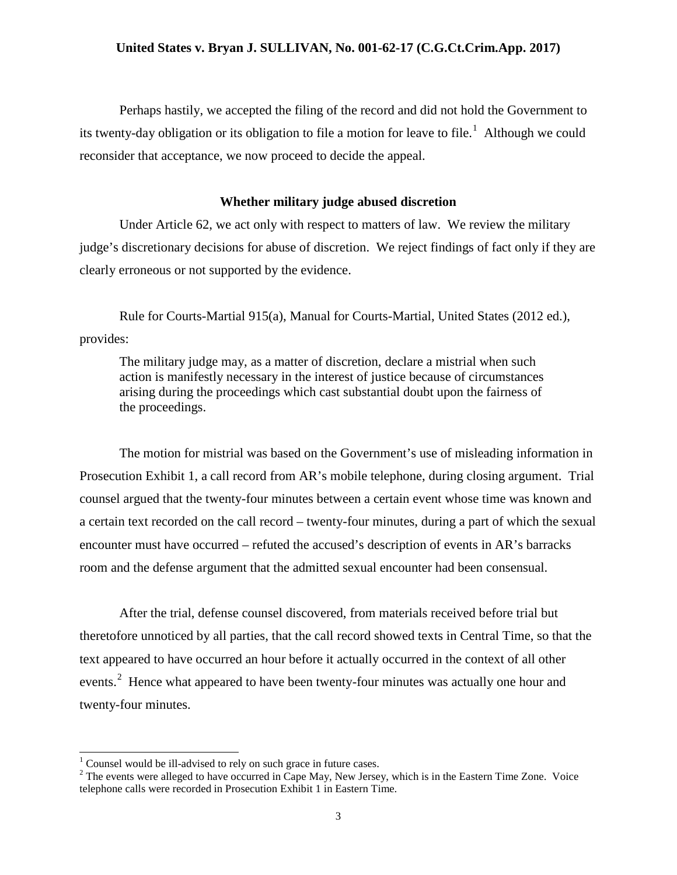### **United States v. Bryan J. SULLIVAN, No. 001-62-17 (C.G.Ct.Crim.App. 2017)**

Perhaps hastily, we accepted the filing of the record and did not hold the Government to its twenty-day obligation or its obligation to file a motion for leave to file.<sup>[1](#page-2-0)</sup> Although we could reconsider that acceptance, we now proceed to decide the appeal.

## **Whether military judge abused discretion**

Under Article 62, we act only with respect to matters of law. We review the military judge's discretionary decisions for abuse of discretion. We reject findings of fact only if they are clearly erroneous or not supported by the evidence.

Rule for Courts-Martial 915(a), Manual for Courts-Martial, United States (2012 ed.), provides:

The military judge may, as a matter of discretion, declare a mistrial when such action is manifestly necessary in the interest of justice because of circumstances arising during the proceedings which cast substantial doubt upon the fairness of the proceedings.

The motion for mistrial was based on the Government's use of misleading information in Prosecution Exhibit 1, a call record from AR's mobile telephone, during closing argument. Trial counsel argued that the twenty-four minutes between a certain event whose time was known and a certain text recorded on the call record – twenty-four minutes, during a part of which the sexual encounter must have occurred – refuted the accused's description of events in AR's barracks room and the defense argument that the admitted sexual encounter had been consensual.

After the trial, defense counsel discovered, from materials received before trial but theretofore unnoticed by all parties, that the call record showed texts in Central Time, so that the text appeared to have occurred an hour before it actually occurred in the context of all other events.<sup>[2](#page-2-1)</sup> Hence what appeared to have been twenty-four minutes was actually one hour and twenty-four minutes.

<span id="page-2-1"></span><span id="page-2-0"></span><sup>&</sup>lt;sup>1</sup> Counsel would be ill-advised to rely on such grace in future cases.<br><sup>2</sup> The events were alleged to have occurred in Cape May, New Jersey, which is in the Eastern Time Zone. Voice telephone calls were recorded in Prosecution Exhibit 1 in Eastern Time.